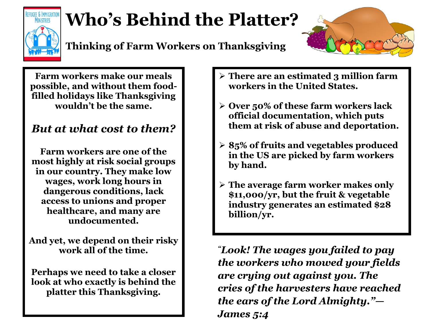

## **Who's Behind the Platter?**





**Farm workers make our meals possible, and without them foodfilled holidays like Thanksgiving wouldn't be the same.**

### *But at what cost to them?*

**Farm workers are one of the most highly at risk social groups in our country. They make low wages, work long hours in dangerous conditions, lack access to unions and proper healthcare, and many are undocumented.** 

**And yet, we depend on their risky work all of the time.**

**Perhaps we need to take a closer look at who exactly is behind the platter this Thanksgiving.**

- **There are an estimated 3 million farm workers in the United States.**
- **Over 50% of these farm workers lack official documentation, which puts them at risk of abuse and deportation.**
- **85% of fruits and vegetables produced in the US are picked by farm workers by hand.**
- **The average farm worker makes only \$11,000/yr, but the fruit & vegetable industry generates an estimated \$28 billion/yr.**

*"Look! The wages you failed to pay the workers who mowed your fields are crying out against you. The cries of the harvesters have reached the ears of the Lord Almighty."— James 5:4*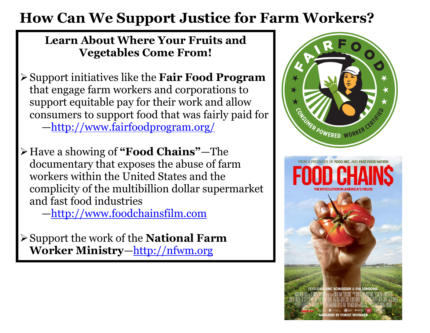### **How Can We Support Justice for Farm Workers?**

#### **Learn About Where Your Fruits and Vegetables Come From!**

- Support initiatives like the **Fair Food Program** that engage farm workers and corporations to support equitable pay for their work and allow consumers to support food that was fairly paid for —<http://www.fairfoodprogram.org/>
- Have a showing of **"Food Chains"**—The documentary that exposes the abuse of farm workers within the United States and the complicity of the multibillion dollar supermarket and fast food industries

—[http://www.foodchainsfilm.com](http://www.foodchainsfilm.com/) 

Support the work of the **National Farm Worker Ministry**—[http://nfwm.org](http://nfwm.org/)

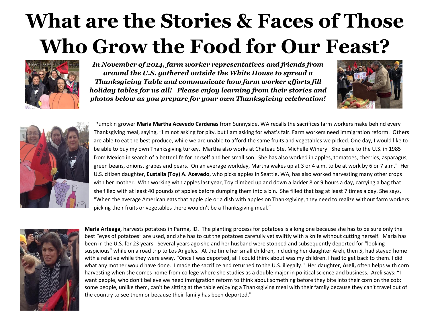# **What are the Stories & Faces of Those Who Grow the Food for Our Feast?**



*In November of 2014, farm worker representatives and friends from around the U.S. gathered outside the White House to spread a Thanksgiving Table and communicate how farm worker efforts fill holiday tables for us all! Please enjoy learning from their stories and photos below as you prepare for your own Thanksgiving celebration!*





Pumpkin grower **Maria Martha Acevedo Cardenas** from Sunnyside, WA recalls the sacrifices farm workers make behind every Thanksgiving meal, saying, "I'm not asking for pity, but I am asking for what's fair. Farm workers need immigration reform. Others are able to eat the best produce, while we are unable to afford the same fruits and vegetables we picked. One day, I would like to be able to buy my own Thanksgiving turkey. Martha also works at Chateau Ste. Michelle Winery. She came to the U.S. in 1985 from Mexico in search of a better life for herself and her small son. She has also worked in apples, tomatoes, cherries, asparagus, green beans, onions, grapes and pears. On an average workday, Martha wakes up at 3 or 4 a.m. to be at work by 6 or 7 a.m." Her U.S. citizen daughter, **Eustalia (Toy) A. Acevedo**, who picks apples in Seattle, WA, has also worked harvesting many other crops with her mother. With working with apples last year, Toy climbed up and down a ladder 8 or 9 hours a day, carrying a bag that she filled with at least 40 pounds of apples before dumping them into a bin. She filled that bag at least 7 times a day. She says, "When the average American eats that apple pie or a dish with apples on Thanksgiving, they need to realize without farm workers picking their fruits or vegetables there wouldn't be a Thanksgiving meal."



**Maria Arteaga**, harvests potatoes in Parma, ID. The planting process for potatoes is a long one because she has to be sure only the best "eyes of potatoes" are used, and she has to cut the potatoes carefully yet swiftly with a knife without cutting herself. Maria has been in the U.S. for 23 years. Several years ago she and her husband were stopped and subsequently deported for "looking suspicious" while on a road trip to Los Angeles. At the time her small children, including her daughter Areli, then 5, had stayed home with a relative while they were away. "Once I was deported, all I could think about was my children. I had to get back to them. I did what any mother would have done. I made the sacrifice and returned to the U.S. illegally." Her daughter, **Areli,** often helps with corn harvesting when she comes home from college where she studies as a double major in political science and business. Areli says: "I want people, who don't believe we need immigration reform to think about something before they bite into their corn on the cob: some people, unlike them, can't be sitting at the table enjoying a Thanksgiving meal with their family because they can't travel out of the country to see them or because their family has been deported."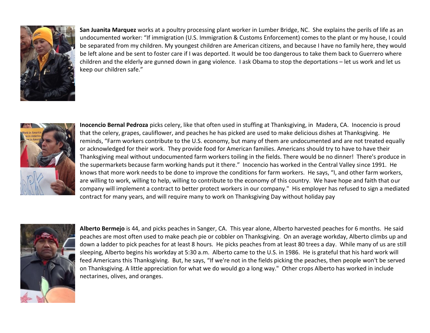

**San Juanita Marquez** works at a poultry processing plant worker in Lumber Bridge, NC. She explains the perils of life as an undocumented worker: "If immigration (U.S. Immigration & Customs Enforcement) comes to the plant or my house, I could be separated from my children. My youngest children are American citizens, and because I have no family here, they would be left alone and be sent to foster care if I was deported. It would be too dangerous to take them back to Guerrero where children and the elderly are gunned down in gang violence. I ask Obama to stop the deportations – let us work and let us keep our children safe."



**Inocencio Bernal Pedroza** picks celery, like that often used in stuffing at Thanksgiving, in Madera, CA. Inocencio is proud that the celery, grapes, cauliflower, and peaches he has picked are used to make delicious dishes at Thanksgiving. He reminds, "Farm workers contribute to the U.S. economy, but many of them are undocumented and are not treated equally or acknowledged for their work. They provide food for American families. Americans should try to have to have their Thanksgiving meal without undocumented farm workers toiling in the fields. There would be no dinner! There's produce in the supermarkets because farm working hands put it there." Inocencio has worked in the Central Valley since 1991. He knows that more work needs to be done to improve the conditions for farm workers. He says, "I, and other farm workers, are willing to work, willing to help, willing to contribute to the economy of this country. We have hope and faith that our company will implement a contract to better protect workers in our company." His employer has refused to sign a mediated contract for many years, and will require many to work on Thanksgiving Day without holiday pay



**Alberto Bermejo** is 44, and picks peaches in Sanger, CA. This year alone, Alberto harvested peaches for 6 months. He said peaches are most often used to make peach pie or cobbler on Thanksgiving. On an average workday, Alberto climbs up and down a ladder to pick peaches for at least 8 hours. He picks peaches from at least 80 trees a day. While many of us are still sleeping, Alberto begins his workday at 5:30 a.m. Alberto came to the U.S. in 1986. He is grateful that his hard work will feed Americans this Thanksgiving. But, he says, "If we're not in the fields picking the peaches, then people won't be served on Thanksgiving. A little appreciation for what we do would go a long way." Other crops Alberto has worked in include nectarines, olives, and oranges.